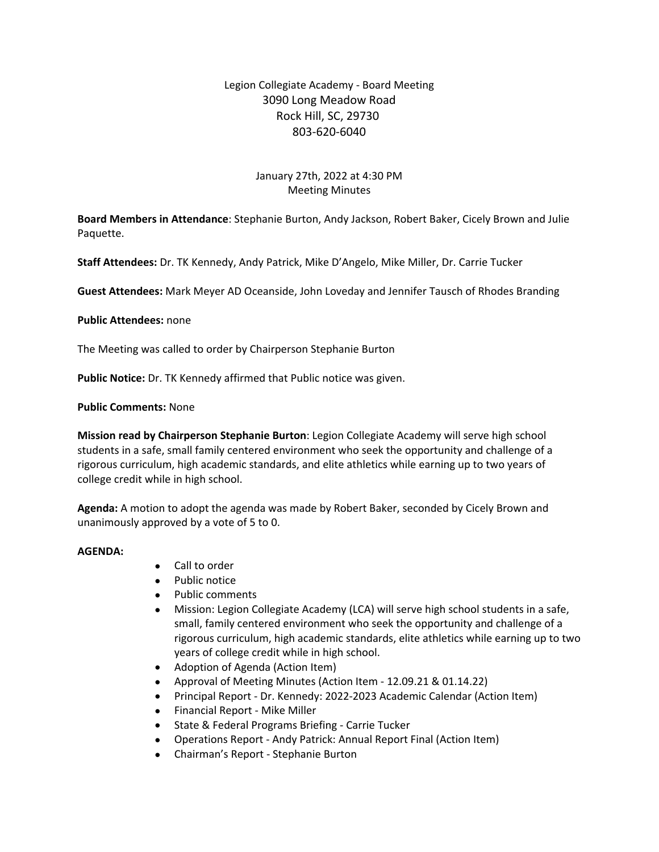# Legion Collegiate Academy - Board Meeting 3090 Long Meadow Road Rock Hill, SC, 29730 803-620-6040

# January 27th, 2022 at 4:30 PM Meeting Minutes

**Board Members in Attendance**: Stephanie Burton, Andy Jackson, Robert Baker, Cicely Brown and Julie Paquette.

**Staff Attendees:** Dr. TK Kennedy, Andy Patrick, Mike D'Angelo, Mike Miller, Dr. Carrie Tucker

**Guest Attendees:** Mark Meyer AD Oceanside, John Loveday and Jennifer Tausch of Rhodes Branding

**Public Attendees:** none

The Meeting was called to order by Chairperson Stephanie Burton

**Public Notice:** Dr. TK Kennedy affirmed that Public notice was given.

### **Public Comments:** None

**Mission read by Chairperson Stephanie Burton**: Legion Collegiate Academy will serve high school students in a safe, small family centered environment who seek the opportunity and challenge of a rigorous curriculum, high academic standards, and elite athletics while earning up to two years of college credit while in high school.

**Agenda:** A motion to adopt the agenda was made by Robert Baker, seconded by Cicely Brown and unanimously approved by a vote of 5 to 0.

#### **AGENDA:**

- Call to order
- Public notice
- Public comments
- Mission: Legion Collegiate Academy (LCA) will serve high school students in a safe, small, family centered environment who seek the opportunity and challenge of a rigorous curriculum, high academic standards, elite athletics while earning up to two years of college credit while in high school.
- Adoption of Agenda (Action Item)
- Approval of Meeting Minutes (Action Item 12.09.21 & 01.14.22)
- Principal Report Dr. Kennedy: 2022-2023 Academic Calendar (Action Item)
- Financial Report Mike Miller
- State & Federal Programs Briefing Carrie Tucker
- Operations Report Andy Patrick: Annual Report Final (Action Item)
- Chairman's Report Stephanie Burton